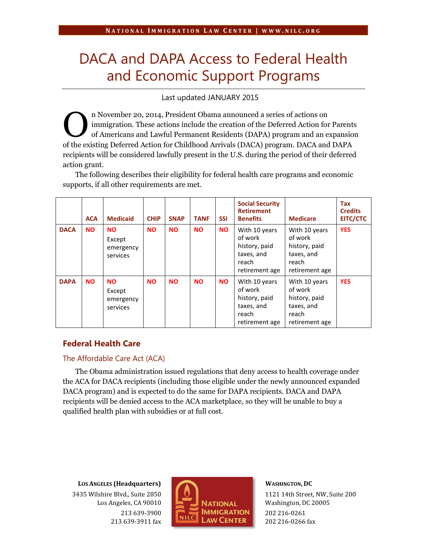# DACA and DAPA Access to Federal Health and Economic Support Programs

Last updated JANUARY 2015

n November 20, 2014, President Obama announced a series of actions on immigration. These actions include the creation of the Deferred Action for Parents of Americans and Lawful Permanent Residents (DAPA) program and an expansion of the existing Deferred Action for Childhood Arrivals (DACA) program. DACA and DAPA recipients will be considered lawfully present in the U.S. during the period of their deferred action grant. O

The following describes their eligibility for federal health care programs and economic supports, if all other requirements are met.

|             | <b>ACA</b> | <b>Medicaid</b>                              | <b>CHIP</b> | <b>SNAP</b> | <b>TANF</b> | <b>SSI</b> | <b>Social Security</b><br><b>Retirement</b><br><b>Benefits</b>                     | <b>Medicare</b>                                                                    | Tax<br><b>Credits</b><br><b>EITC/CTC</b> |
|-------------|------------|----------------------------------------------|-------------|-------------|-------------|------------|------------------------------------------------------------------------------------|------------------------------------------------------------------------------------|------------------------------------------|
| <b>DACA</b> | <b>NO</b>  | <b>NO</b><br>Except<br>emergency<br>services | <b>NO</b>   | <b>NO</b>   | <b>NO</b>   | <b>NO</b>  | With 10 years<br>of work<br>history, paid<br>taxes, and<br>reach<br>retirement age | With 10 years<br>of work<br>history, paid<br>taxes, and<br>reach<br>retirement age | <b>YES</b>                               |
| <b>DAPA</b> | <b>NO</b>  | <b>NO</b><br>Except<br>emergency<br>services | <b>NO</b>   | <b>NO</b>   | <b>NO</b>   | <b>NO</b>  | With 10 years<br>of work<br>history, paid<br>taxes, and<br>reach<br>retirement age | With 10 years<br>of work<br>history, paid<br>taxes, and<br>reach<br>retirement age | <b>YES</b>                               |

## **Federal Health Care**

## The Affordable Care Act (ACA)

The Obama administration issued regulations that deny access to health coverage under the ACA for DACA recipients (including those eligible under the newly announced expanded DACA program) and is expected to do the same for DAPA recipients. DACA and DAPA recipients will be denied access to the ACA marketplace, so they will be unable to buy a qualified health plan with subsidies or at full cost.

**LOS ANGELES (Headquarters)** 3435 Wilshire Blvd., Suite 2850 Los Angeles, CA 90010 213 639-3900 213 639-3911 fax



#### **WASHINGTON, DC**

1121 14th Street, NW, Suite 200 Washington, DC 20005 202 216-0261 202 216-0266 fax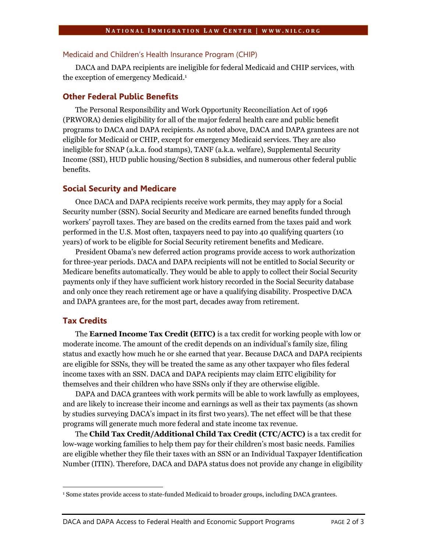#### Medicaid and Children's Health Insurance Program (CHIP)

DACA and DAPA recipients are ineligible for federal Medicaid and CHIP services, with the exception of emergency Medicaid.<sup>1</sup>

## **Other Federal Public Benefits**

The Personal Responsibility and Work Opportunity Reconciliation Act of 1996 (PRWORA) denies eligibility for all of the major federal health care and public benefit programs to DACA and DAPA recipients. As noted above, DACA and DAPA grantees are not eligible for Medicaid or CHIP, except for emergency Medicaid services. They are also ineligible for SNAP (a.k.a. food stamps), TANF (a.k.a. welfare), Supplemental Security Income (SSI), HUD public housing/Section 8 subsidies, and numerous other federal public benefits.

#### **Social Security and Medicare**

Once DACA and DAPA recipients receive work permits, they may apply for a Social Security number (SSN). Social Security and Medicare are earned benefits funded through workers' payroll taxes. They are based on the credits earned from the taxes paid and work performed in the U.S. Most often, taxpayers need to pay into 40 qualifying quarters (10 years) of work to be eligible for Social Security retirement benefits and Medicare.

President Obama's new deferred action programs provide access to work authorization for three-year periods. DACA and DAPA recipients will not be entitled to Social Security or Medicare benefits automatically. They would be able to apply to collect their Social Security payments only if they have sufficient work history recorded in the Social Security database and only once they reach retirement age or have a qualifying disability. Prospective DACA and DAPA grantees are, for the most part, decades away from retirement.

## **Tax Credits**

The **Earned Income Tax Credit (EITC)** is a tax credit for working people with low or moderate income. The amount of the credit depends on an individual's family size, filing status and exactly how much he or she earned that year. Because DACA and DAPA recipients are eligible for SSNs, they will be treated the same as any other taxpayer who files federal income taxes with an SSN. DACA and DAPA recipients may claim EITC eligibility for themselves and their children who have SSNs only if they are otherwise eligible.

DAPA and DACA grantees with work permits will be able to work lawfully as employees, and are likely to increase their income and earnings as well as their tax payments (as shown by studies surveying DACA's impact in its first two years). The net effect will be that these programs will generate much more federal and state income tax revenue.

The **Child Tax Credit/Additional Child Tax Credit (CTC/ACTC)** is a tax credit for low-wage working families to help them pay for their children's most basic needs. Families are eligible whether they file their taxes with an SSN or an Individual Taxpayer Identification Number (ITIN). Therefore, DACA and DAPA status does not provide any change in eligibility

l <sup>1</sup> Some states provide access to state-funded Medicaid to broader groups, including DACA grantees.